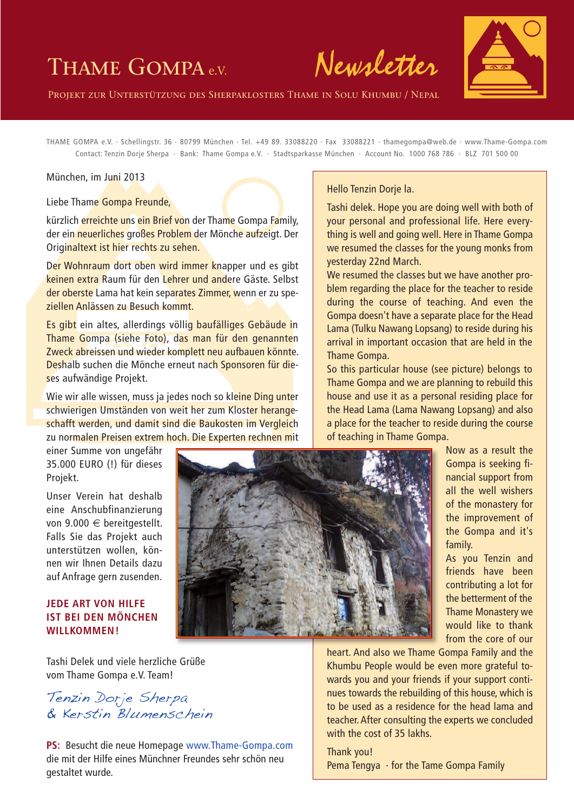# Thame Gompa <sup>e</sup>.V. **Newsletter**

Projekt zur Unterstützung des Sherpaklosters Thame in Solu Khumbu / Nepal

THAME GOMPA e.V. · Schellingstr. 36 · 80799 München · Tel. +49 89. 33088220 · Fax 33088221 · thamegompa@web.de · www.Thame-Gompa.com Contact: Tenzin Dorje Sherpa · Bank: Thame Gompa e.V. · Stadtsparkasse München · Account No. 1000 768 786 · BLZ 701 500 00

#### München, im Juni 2013

Liebe Thame Gompa Freunde,

kürzlich erreichte uns ein Brief von der Thame Gompa Family, der ein neuerliches großes Problem der Mönche aufzeigt. Der Originaltext ist hier rechts zu sehen.

Der Wohnraum dort oben wird immer knapper und es gibt keinen extra Raum für den Lehrer und andere Gäste. Selbst der oberste Lama hat kein separates Zimmer, wenn er zu speziellen Anlässen zu Besuch kommt.

Es gibt ein altes, allerdings völlig baufälliges Gebäude in Thame Gompa (siehe Foto), das man für den genannten Zweck abreissen und wieder komplett neu aufbauen könnte. Deshalb suchen die Mönche erneut nach Sponsoren für dieses aufwändige Projekt.

Wie wir alle wissen, muss ja jedes noch so kleine Ding unter schwierigen Umständen von weit her zum Kloster herangeschafft werden, und damit sind die Baukosten im Vergleich zu normalen Preisen extrem hoch. Die Experten rechnen mit

einer Summe von ungefähr 35.000 EURO (!) für dieses Projekt.

Unser Verein hat deshalb eine Anschubfinanzierung von 9.000 € bereitgestellt. Falls Sie das Projekt auch unterstützen wollen, können wir Ihnen Details dazu auf Anfrage gern zusenden.

### **JEDE ART VON HILFE IST BEI DEN MÖNCHEN WILLKOMMEN!**

Hello Tenzin Dorje la.

Tashi delek. Hope you are doing well with both of your personal and professional life. Here everything is well and going well. Here in Thame Gompa we resumed the classes for the young monks from yesterday 22nd March.

We resumed the classes but we have another problem regarding the place for the teacher to reside during the course of teaching. And even the Gompa doesn't have a separate place for the Head Lama (Tulku Nawang Lopsang) to reside during his arrival in important occasion that are held in the Thame Gompa.

So this particular house (see picture) belongs to Thame Gompa and we are planning to rebuild this house and use it as a personal residing place for the Head Lama (Lama Nawang Lopsang) and also a place for the teacher to reside during the course of teaching in Thame Gompa.



Now as a result the Gompa is seeking financial support from all the well wishers of the monastery for the improvement of the Gompa and it's family.

As you Tenzin and friends have been contributing a lot for the betterment of the Thame Monastery we would like to thank from the core of our

Tashi Delek und viele herzliche Grüße vom Thame Gompa e.V. Team!

Tenzin Dorje Sherpa & Kerstin Blumenschein

**PS:** Besucht die neue Homepage www.Thame-Gompa.com die mit der Hilfe eines Münchner Freundes sehr schön neu gestaltet wurde.

heart. And also we Thame Gompa Family and the Khumbu People would be even more grateful towards you and your friends if your support continues towards the rebuilding of this house, which is to be used as a residence for the head lama and teacher.After consulting the experts we concluded with the cost of 35 lakhs.

Thank you! Pema Tengya  $\cdot$  for the Tame Gompa Family